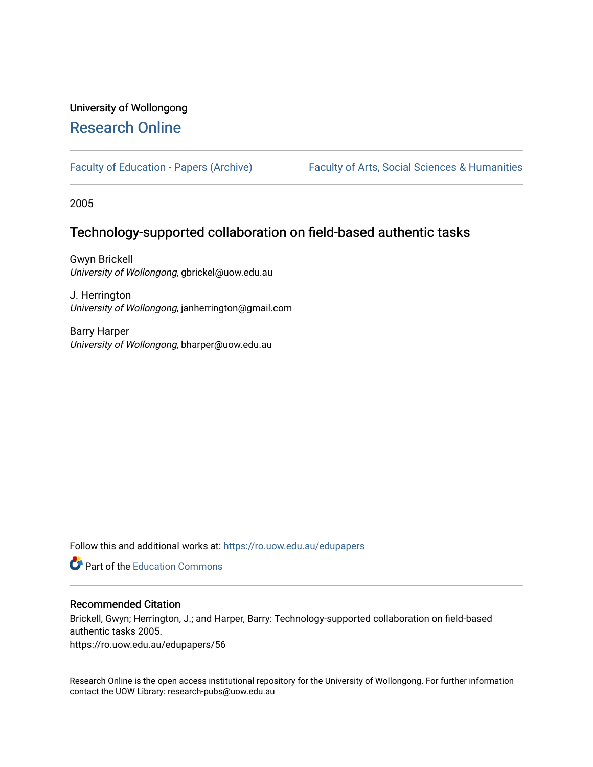# University of Wollongong [Research Online](https://ro.uow.edu.au/)

[Faculty of Education - Papers \(Archive\)](https://ro.uow.edu.au/edupapers) Faculty of Arts, Social Sciences & Humanities

2005

## Technology-supported collaboration on field-based authentic tasks

Gwyn Brickell University of Wollongong, gbrickel@uow.edu.au

J. Herrington University of Wollongong, janherrington@gmail.com

Barry Harper University of Wollongong, bharper@uow.edu.au

Follow this and additional works at: [https://ro.uow.edu.au/edupapers](https://ro.uow.edu.au/edupapers?utm_source=ro.uow.edu.au%2Fedupapers%2F56&utm_medium=PDF&utm_campaign=PDFCoverPages) 

**C** Part of the [Education Commons](http://network.bepress.com/hgg/discipline/784?utm_source=ro.uow.edu.au%2Fedupapers%2F56&utm_medium=PDF&utm_campaign=PDFCoverPages)

## Recommended Citation

Brickell, Gwyn; Herrington, J.; and Harper, Barry: Technology-supported collaboration on field-based authentic tasks 2005.

https://ro.uow.edu.au/edupapers/56

Research Online is the open access institutional repository for the University of Wollongong. For further information contact the UOW Library: research-pubs@uow.edu.au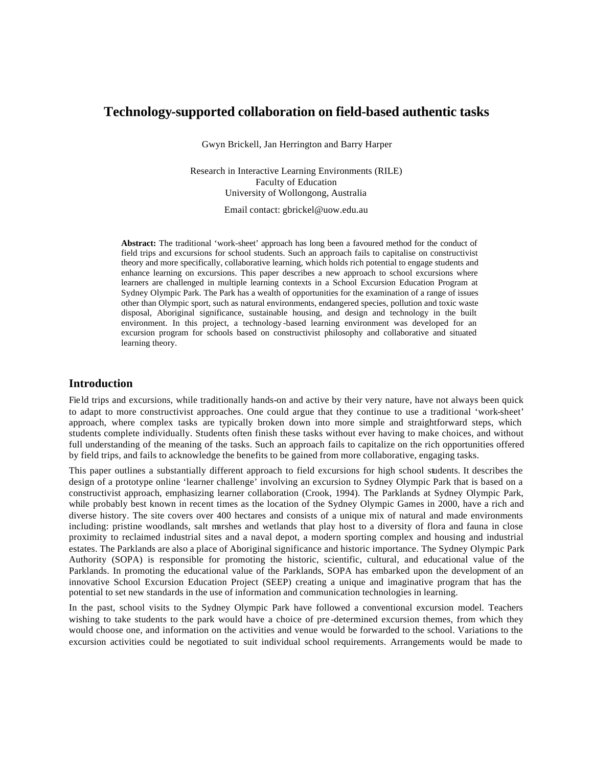## **Technology-supported collaboration on field-based authentic tasks**

Gwyn Brickell, Jan Herrington and Barry Harper

Research in Interactive Learning Environments (RILE) Faculty of Education University of Wollongong, Australia

Email contact: gbrickel@uow.edu.au

**Abstract:** The traditional 'work-sheet' approach has long been a favoured method for the conduct of field trips and excursions for school students. Such an approach fails to capitalise on constructivist theory and more specifically, collaborative learning, which holds rich potential to engage students and enhance learning on excursions. This paper describes a new approach to school excursions where learners are challenged in multiple learning contexts in a School Excursion Education Program at Sydney Olympic Park. The Park has a wealth of opportunities for the examination of a range of issues other than Olympic sport, such as natural environments, endangered species, pollution and toxic waste disposal, Aboriginal significance, sustainable housing, and design and technology in the built environment. In this project, a technology -based learning environment was developed for an excursion program for schools based on constructivist philosophy and collaborative and situated learning theory.

#### **Introduction**

Fie ld trips and excursions, while traditionally hands-on and active by their very nature, have not always been quick to adapt to more constructivist approaches. One could argue that they continue to use a traditional 'work-sheet' approach, where complex tasks are typically broken down into more simple and straightforward steps, which students complete individually. Students often finish these tasks without ever having to make choices, and without full understanding of the meaning of the tasks. Such an approach fails to capitalize on the rich opportunities offered by field trips, and fails to acknowledge the benefits to be gained from more collaborative, engaging tasks.

This paper outlines a substantially different approach to field excursions for high school students. It describes the design of a prototype online 'learner challenge' involving an excursion to Sydney Olympic Park that is based on a constructivist approach, emphasizing learner collaboration (Crook, 1994). The Parklands at Sydney Olympic Park, while probably best known in recent times as the location of the Sydney Olympic Games in 2000, have a rich and diverse history. The site covers over 400 hectares and consists of a unique mix of natural and made environments including: pristine woodlands, salt marshes and wetlands that play host to a diversity of flora and fauna in close proximity to reclaimed industrial sites and a naval depot, a modern sporting complex and housing and industrial estates. The Parklands are also a place of Aboriginal significance and historic importance. The Sydney Olympic Park Authority (SOPA) is responsible for promoting the historic, scientific, cultural, and educational value of the Parklands. In promoting the educational value of the Parklands, SOPA has embarked upon the development of an innovative School Excursion Education Project (SEEP) creating a unique and imaginative program that has the potential to set new standards in the use of information and communication technologies in learning.

In the past, school visits to the Sydney Olympic Park have followed a conventional excursion model. Teachers wishing to take students to the park would have a choice of pre -determined excursion themes, from which they would choose one, and information on the activities and venue would be forwarded to the school. Variations to the excursion activities could be negotiated to suit individual school requirements. Arrangements would be made to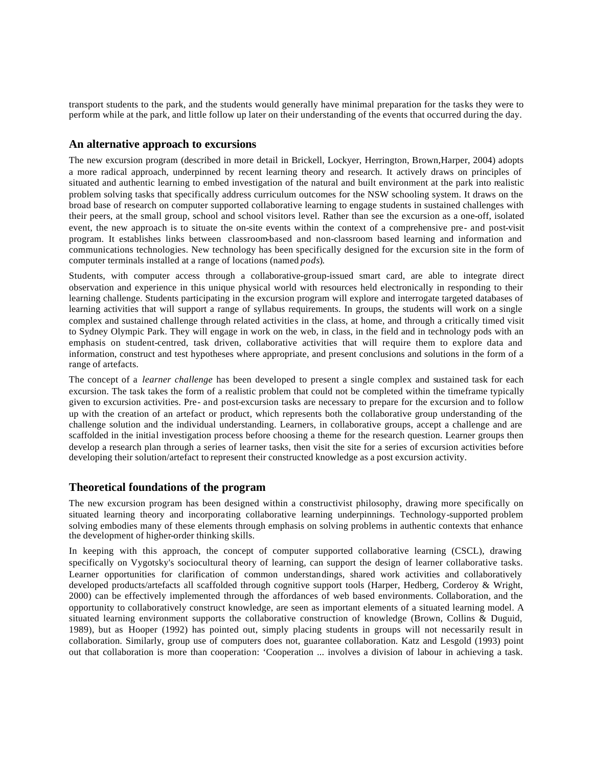transport students to the park, and the students would generally have minimal preparation for the tasks they were to perform while at the park, and little follow up later on their understanding of the events that occurred during the day.

#### **An alternative approach to excursions**

The new excursion program (described in more detail in Brickell, Lockyer, Herrington, Brown,Harper, 2004) adopts a more radical approach, underpinned by recent learning theory and research. It actively draws on principles of situated and authentic learning to embed investigation of the natural and built environment at the park into realistic problem solving tasks that specifically address curriculum outcomes for the NSW schooling system. It draws on the broad base of research on computer supported collaborative learning to engage students in sustained challenges with their peers, at the small group, school and school visitors level. Rather than see the excursion as a one-off, isolated event, the new approach is to situate the on-site events within the context of a comprehensive pre- and post-visit program. It establishes links between classroom-based and non-classroom based learning and information and communications technologies. New technology has been specifically designed for the excursion site in the form of computer terminals installed at a range of locations (named *pods*).

Students, with computer access through a collaborative-group-issued smart card, are able to integrate direct observation and experience in this unique physical world with resources held electronically in responding to their learning challenge. Students participating in the excursion program will explore and interrogate targeted databases of learning activities that will support a range of syllabus requirements. In groups, the students will work on a single complex and sustained challenge through related activities in the class, at home, and through a critically timed visit to Sydney Olympic Park. They will engage in work on the web, in class, in the field and in technology pods with an emphasis on student-centred, task driven, collaborative activities that will require them to explore data and information, construct and test hypotheses where appropriate, and present conclusions and solutions in the form of a range of artefacts.

The concept of a *learner challenge* has been developed to present a single complex and sustained task for each excursion. The task takes the form of a realistic problem that could not be completed within the timeframe typically given to excursion activities. Pre- and post-excursion tasks are necessary to prepare for the excursion and to follow up with the creation of an artefact or product, which represents both the collaborative group understanding of the challenge solution and the individual understanding. Learners, in collaborative groups, accept a challenge and are scaffolded in the initial investigation process before choosing a theme for the research question. Learner groups then develop a research plan through a series of learner tasks, then visit the site for a series of excursion activities before developing their solution/artefact to represent their constructed knowledge as a post excursion activity.

#### **Theoretical foundations of the program**

The new excursion program has been designed within a constructivist philosophy, drawing more specifically on situated learning theory and incorporating collaborative learning underpinnings. Technology-supported problem solving embodies many of these elements through emphasis on solving problems in authentic contexts that enhance the development of higher-order thinking skills.

In keeping with this approach, the concept of computer supported collaborative learning (CSCL), drawing specifically on Vygotsky's sociocultural theory of learning, can support the design of learner collaborative tasks. Learner opportunities for clarification of common understandings, shared work activities and collaboratively developed products/artefacts all scaffolded through cognitive support tools (Harper, Hedberg, Corderoy & Wright, 2000) can be effectively implemented through the affordances of web based environments. Collaboration, and the opportunity to collaboratively construct knowledge, are seen as important elements of a situated learning model. A situated learning environment supports the collaborative construction of knowledge (Brown, Collins & Duguid, 1989), but as Hooper (1992) has pointed out, simply placing students in groups will not necessarily result in collaboration. Similarly, group use of computers does not, guarantee collaboration. Katz and Lesgold (1993) point out that collaboration is more than cooperation: 'Cooperation ... involves a division of labour in achieving a task.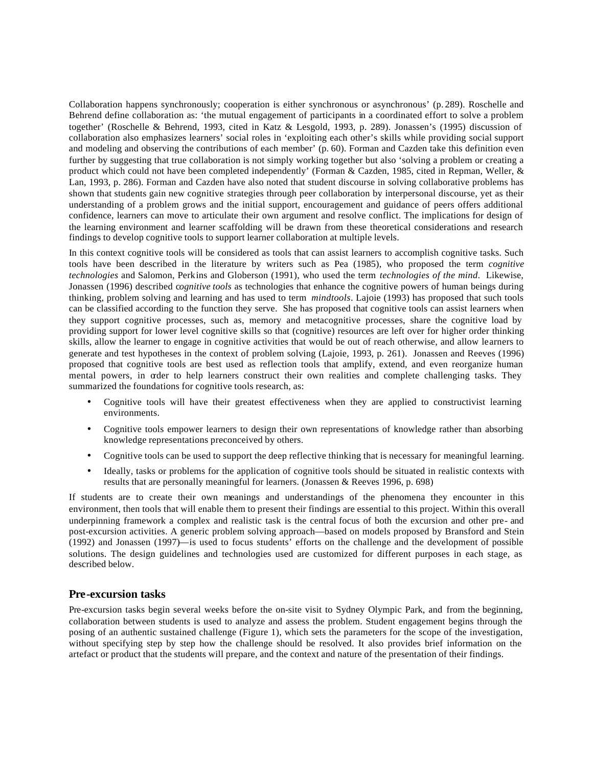Collaboration happens synchronously; cooperation is either synchronous or asynchronous' (p. 289). Roschelle and Behrend define collaboration as: 'the mutual engagement of participants in a coordinated effort to solve a problem together' (Roschelle & Behrend, 1993, cited in Katz & Lesgold, 1993, p. 289). Jonassen's (1995) discussion of collaboration also emphasizes learners' social roles in 'exploiting each other's skills while providing social support and modeling and observing the contributions of each member' (p. 60). Forman and Cazden take this definition even further by suggesting that true collaboration is not simply working together but also 'solving a problem or creating a product which could not have been completed independently' (Forman & Cazden, 1985, cited in Repman, Weller, & Lan, 1993, p. 286). Forman and Cazden have also noted that student discourse in solving collaborative problems has shown that students gain new cognitive strategies through peer collaboration by interpersonal discourse, yet as their understanding of a problem grows and the initial support, encouragement and guidance of peers offers additional confidence, learners can move to articulate their own argument and resolve conflict. The implications for design of the learning environment and learner scaffolding will be drawn from these theoretical considerations and research findings to develop cognitive tools to support learner collaboration at multiple levels.

In this context cognitive tools will be considered as tools that can assist learners to accomplish cognitive tasks. Such tools have been described in the literature by writers such as Pea (1985), who proposed the term *cognitive technologies* and Salomon, Perkins and Globerson (1991), who used the term *technologies of the mind*. Likewise, Jonassen (1996) described c*ognitive tools* as technologies that enhance the cognitive powers of human beings during thinking, problem solving and learning and has used to term *mindtools*. Lajoie (1993) has proposed that such tools can be classified according to the function they serve. She has proposed that cognitive tools can assist learners when they support cognitive processes, such as, memory and metacognitive processes, share the cognitive load by providing support for lower level cognitive skills so that (cognitive) resources are left over for higher order thinking skills, allow the learner to engage in cognitive activities that would be out of reach otherwise, and allow learners to generate and test hypotheses in the context of problem solving (Lajoie, 1993, p. 261). Jonassen and Reeves (1996) proposed that cognitive tools are best used as reflection tools that amplify, extend, and even reorganize human mental powers, in order to help learners construct their own realities and complete challenging tasks. They summarized the foundations for cognitive tools research, as:

- Cognitive tools will have their greatest effectiveness when they are applied to constructivist learning environments.
- Cognitive tools empower learners to design their own representations of knowledge rather than absorbing knowledge representations preconceived by others.
- Cognitive tools can be used to support the deep reflective thinking that is necessary for meaningful learning.
- Ideally, tasks or problems for the application of cognitive tools should be situated in realistic contexts with results that are personally meaningful for learners. (Jonassen & Reeves 1996, p. 698)

If students are to create their own meanings and understandings of the phenomena they encounter in this environment, then tools that will enable them to present their findings are essential to this project. Within this overall underpinning framework a complex and realistic task is the central focus of both the excursion and other pre- and post-excursion activities. A generic problem solving approach—based on models proposed by Bransford and Stein (1992) and Jonassen (1997)—is used to focus students' efforts on the challenge and the development of possible solutions. The design guidelines and technologies used are customized for different purposes in each stage, as described below.

## **Pre-excursion tasks**

Pre-excursion tasks begin several weeks before the on-site visit to Sydney Olympic Park, and from the beginning, collaboration between students is used to analyze and assess the problem. Student engagement begins through the posing of an authentic sustained challenge (Figure 1), which sets the parameters for the scope of the investigation, without specifying step by step how the challenge should be resolved. It also provides brief information on the artefact or product that the students will prepare, and the context and nature of the presentation of their findings.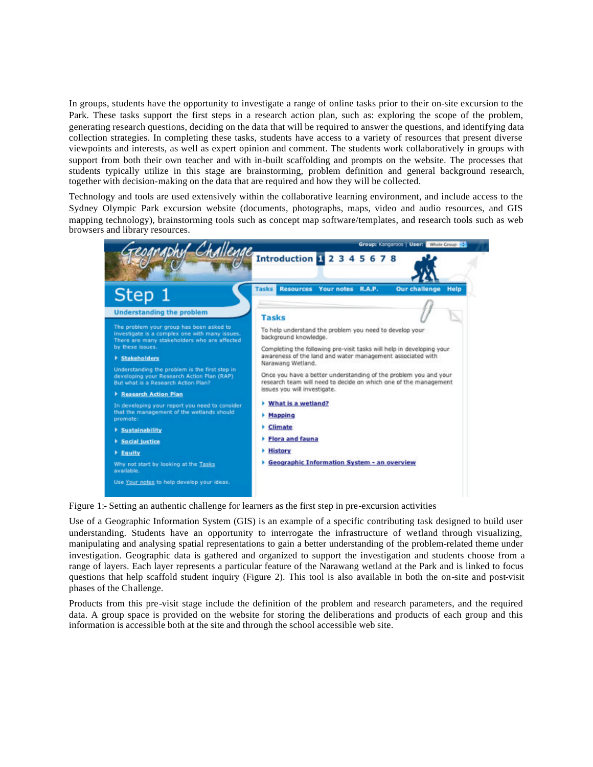In groups, students have the opportunity to investigate a range of online tasks prior to their on-site excursion to the Park. These tasks support the first steps in a research action plan, such as: exploring the scope of the problem, generating research questions, deciding on the data that will be required to answer the questions, and identifying data collection strategies. In completing these tasks, students have access to a variety of resources that present diverse viewpoints and interests, as well as expert opinion and comment. The students work collaboratively in groups with support from both their own teacher and with in-built scaffolding and prompts on the website. The processes that students typically utilize in this stage are brainstorming, problem definition and general background research, together with decision-making on the data that are required and how they will be collected.

Technology and tools are used extensively within the collaborative learning environment, and include access to the Sydney Olympic Park excursion website (documents, photographs, maps, video and audio resources, and GIS mapping technology), brainstorming tools such as concept map software/templates, and research tools such as web browsers and library resources.



Figure 1:- Setting an authentic challenge for learners as the first step in pre-excursion activities

Use of a Geographic Information System (GIS) is an example of a specific contributing task designed to build user understanding. Students have an opportunity to interrogate the infrastructure of wetland through visualizing, manipulating and analysing spatial representations to gain a better understanding of the problem-related theme under investigation. Geographic data is gathered and organized to support the investigation and students choose from a range of layers. Each layer represents a particular feature of the Narawang wetland at the Park and is linked to focus questions that help scaffold student inquiry (Figure 2). This tool is also available in both the on-site and post-visit phases of the Challenge.

Products from this pre-visit stage include the definition of the problem and research parameters, and the required data. A group space is provided on the website for storing the deliberations and products of each group and this information is accessible both at the site and through the school accessible web site.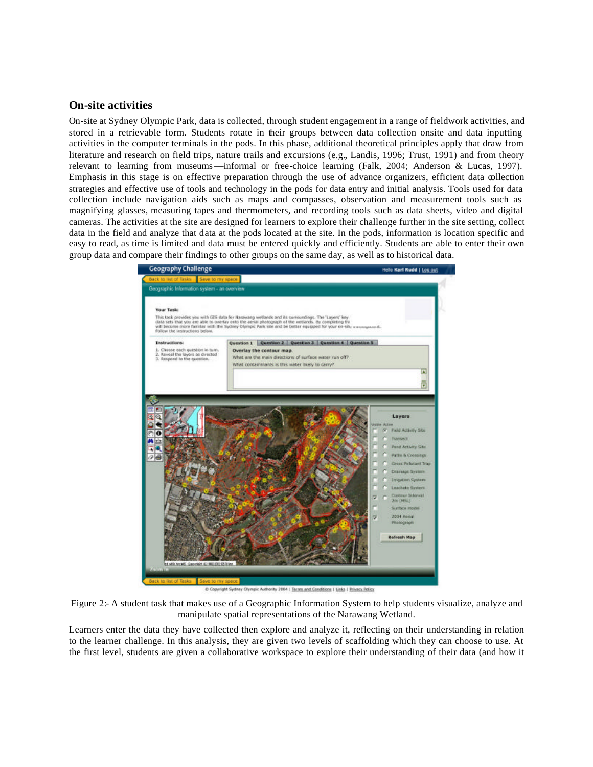#### **On-site activities**

On-site at Sydney Olympic Park, data is collected, through student engagement in a range of fieldwork activities, and stored in a retrievable form. Students rotate in their groups between data collection onsite and data inputting activities in the computer terminals in the pods. In this phase, additional theoretical principles apply that draw from literature and research on field trips, nature trails and excursions (e.g., Landis, 1996; Trust, 1991) and from theory relevant to learning from museums—informal or free-choice learning (Falk, 2004; Anderson & Lucas, 1997). Emphasis in this stage is on effective preparation through the use of advance organizers, efficient data collection strategies and effective use of tools and technology in the pods for data entry and initial analysis. Tools used for data collection include navigation aids such as maps and compasses, observation and measurement tools such as magnifying glasses, measuring tapes and thermometers, and recording tools such as data sheets, video and digital cameras. The activities at the site are designed for learners to explore their challenge further in the site setting, collect data in the field and analyze that data at the pods located at the site. In the pods, information is location specific and easy to read, as time is limited and data must be entered quickly and efficiently. Students are able to enter their own group data and compare their findings to other groups on the same day, as well as to historical data.



C Copyright Sydney Olympic Authority 2004 1 Terms and Conditions 1 Links | Privacy Policy

Figure 2:- A student task that makes use of a Geographic Information System to help students visualize, analyze and manipulate spatial representations of the Narawang Wetland.

Learners enter the data they have collected then explore and analyze it, reflecting on their understanding in relation to the learner challenge. In this analysis, they are given two levels of scaffolding which they can choose to use. At the first level, students are given a collaborative workspace to explore their understanding of their data (and how it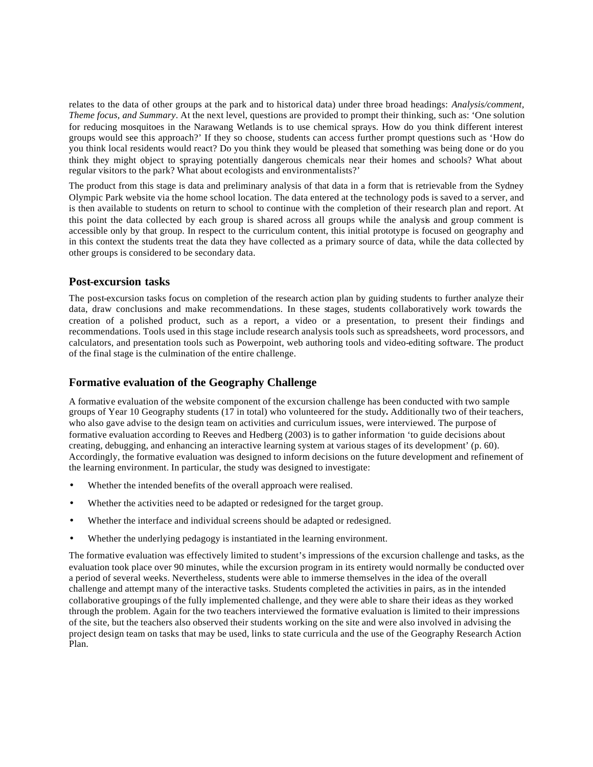relates to the data of other groups at the park and to historical data) under three broad headings: *Analysis/comment, Theme focus, and Summary*. At the next level, questions are provided to prompt their thinking, such as: 'One solution for reducing mosquitoes in the Narawang Wetlands is to use chemical sprays. How do you think different interest groups would see this approach?' If they so choose, students can access further prompt questions such as 'How do you think local residents would react? Do you think they would be pleased that something was being done or do you think they might object to spraying potentially dangerous chemicals near their homes and schools? What about regular visitors to the park? What about ecologists and environmentalists?'

The product from this stage is data and preliminary analysis of that data in a form that is retrievable from the Sydney Olympic Park website via the home school location. The data entered at the technology pods is saved to a server, and is then available to students on return to school to continue with the completion of their research plan and report. At this point the data collected by each group is shared across all groups while the analysis and group comment is accessible only by that group. In respect to the curriculum content, this initial prototype is focused on geography and in this context the students treat the data they have collected as a primary source of data, while the data collected by other groups is considered to be secondary data.

## **Post-excursion tasks**

The post-excursion tasks focus on completion of the research action plan by guiding students to further analyze their data, draw conclusions and make recommendations. In these stages, students collaboratively work towards the creation of a polished product, such as a report, a video or a presentation, to present their findings and recommendations. Tools used in this stage include research analysis tools such as spreadsheets, word processors, and calculators, and presentation tools such as Powerpoint, web authoring tools and video-editing software. The product of the final stage is the culmination of the entire challenge.

## **Formative evaluation of the Geography Challenge**

A formative evaluation of the website component of the excursion challenge has been conducted with two sample groups of Year 10 Geography students (17 in total) who volunteered for the study*.* Additionally two of their teachers, who also gave advise to the design team on activities and curriculum issues, were interviewed. The purpose of formative evaluation according to Reeves and Hedberg (2003) is to gather information 'to guide decisions about creating, debugging, and enhancing an interactive learning system at various stages of its development' (p. 60). Accordingly, the formative evaluation was designed to inform decisions on the future development and refinement of the learning environment. In particular, the study was designed to investigate:

- Whether the intended benefits of the overall approach were realised.
- Whether the activities need to be adapted or redesigned for the target group.
- Whether the interface and individual screens should be adapted or redesigned.
- Whether the underlying pedagogy is instantiated in the learning environment.

The formative evaluation was effectively limited to student's impressions of the excursion challenge and tasks, as the evaluation took place over 90 minutes, while the excursion program in its entirety would normally be conducted over a period of several weeks. Nevertheless, students were able to immerse themselves in the idea of the overall challenge and attempt many of the interactive tasks. Students completed the activities in pairs, as in the intended collaborative groupings of the fully implemented challenge, and they were able to share their ideas as they worked through the problem. Again for the two teachers interviewed the formative evaluation is limited to their impressions of the site, but the teachers also observed their students working on the site and were also involved in advising the project design team on tasks that may be used, links to state curricula and the use of the Geography Research Action Plan.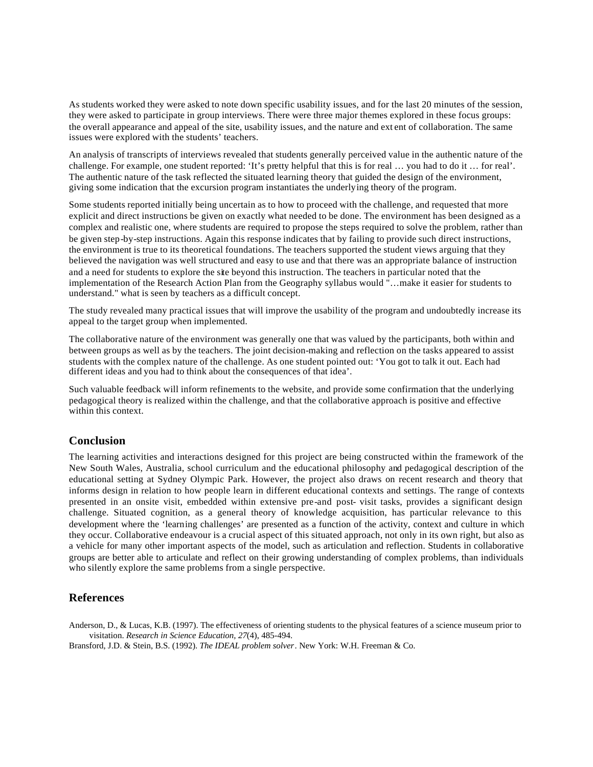As students worked they were asked to note down specific usability issues, and for the last 20 minutes of the session, they were asked to participate in group interviews. There were three major themes explored in these focus groups: the overall appearance and appeal of the site, usability issues, and the nature and ext ent of collaboration. The same issues were explored with the students' teachers.

An analysis of transcripts of interviews revealed that students generally perceived value in the authentic nature of the challenge. For example, one student reported: 'It's pretty helpful that this is for real … you had to do it … for real'. The authentic nature of the task reflected the situated learning theory that guided the design of the environment, giving some indication that the excursion program instantiates the underlying theory of the program.

Some students reported initially being uncertain as to how to proceed with the challenge, and requested that more explicit and direct instructions be given on exactly what needed to be done. The environment has been designed as a complex and realistic one, where students are required to propose the steps required to solve the problem, rather than be given step-by-step instructions. Again this response indicates that by failing to provide such direct instructions, the environment is true to its theoretical foundations. The teachers supported the student views arguing that they believed the navigation was well structured and easy to use and that there was an appropriate balance of instruction and a need for students to explore the site beyond this instruction. The teachers in particular noted that the implementation of the Research Action Plan from the Geography syllabus would "…make it easier for students to understand." what is seen by teachers as a difficult concept.

The study revealed many practical issues that will improve the usability of the program and undoubtedly increase its appeal to the target group when implemented.

The collaborative nature of the environment was generally one that was valued by the participants, both within and between groups as well as by the teachers. The joint decision-making and reflection on the tasks appeared to assist students with the complex nature of the challenge. As one student pointed out: 'You got to talk it out. Each had different ideas and you had to think about the consequences of that idea'.

Such valuable feedback will inform refinements to the website, and provide some confirmation that the underlying pedagogical theory is realized within the challenge, and that the collaborative approach is positive and effective within this context.

## **Conclusion**

The learning activities and interactions designed for this project are being constructed within the framework of the New South Wales, Australia, school curriculum and the educational philosophy and pedagogical description of the educational setting at Sydney Olympic Park. However, the project also draws on recent research and theory that informs design in relation to how people learn in different educational contexts and settings. The range of contexts presented in an onsite visit, embedded within extensive pre-and post- visit tasks, provides a significant design challenge. Situated cognition, as a general theory of knowledge acquisition, has particular relevance to this development where the 'learning challenges' are presented as a function of the activity, context and culture in which they occur. Collaborative endeavour is a crucial aspect of this situated approach, not only in its own right, but also as a vehicle for many other important aspects of the model, such as articulation and reflection. Students in collaborative groups are better able to articulate and reflect on their growing understanding of complex problems, than individuals who silently explore the same problems from a single perspective.

#### **References**

Anderson, D., & Lucas, K.B. (1997). The effectiveness of orienting students to the physical features of a science museum prior to visitation. *Research in Science Education, 27*(4), 485-494.

Bransford, J.D. & Stein, B.S. (1992). *The IDEAL problem solver*. New York: W.H. Freeman & Co.